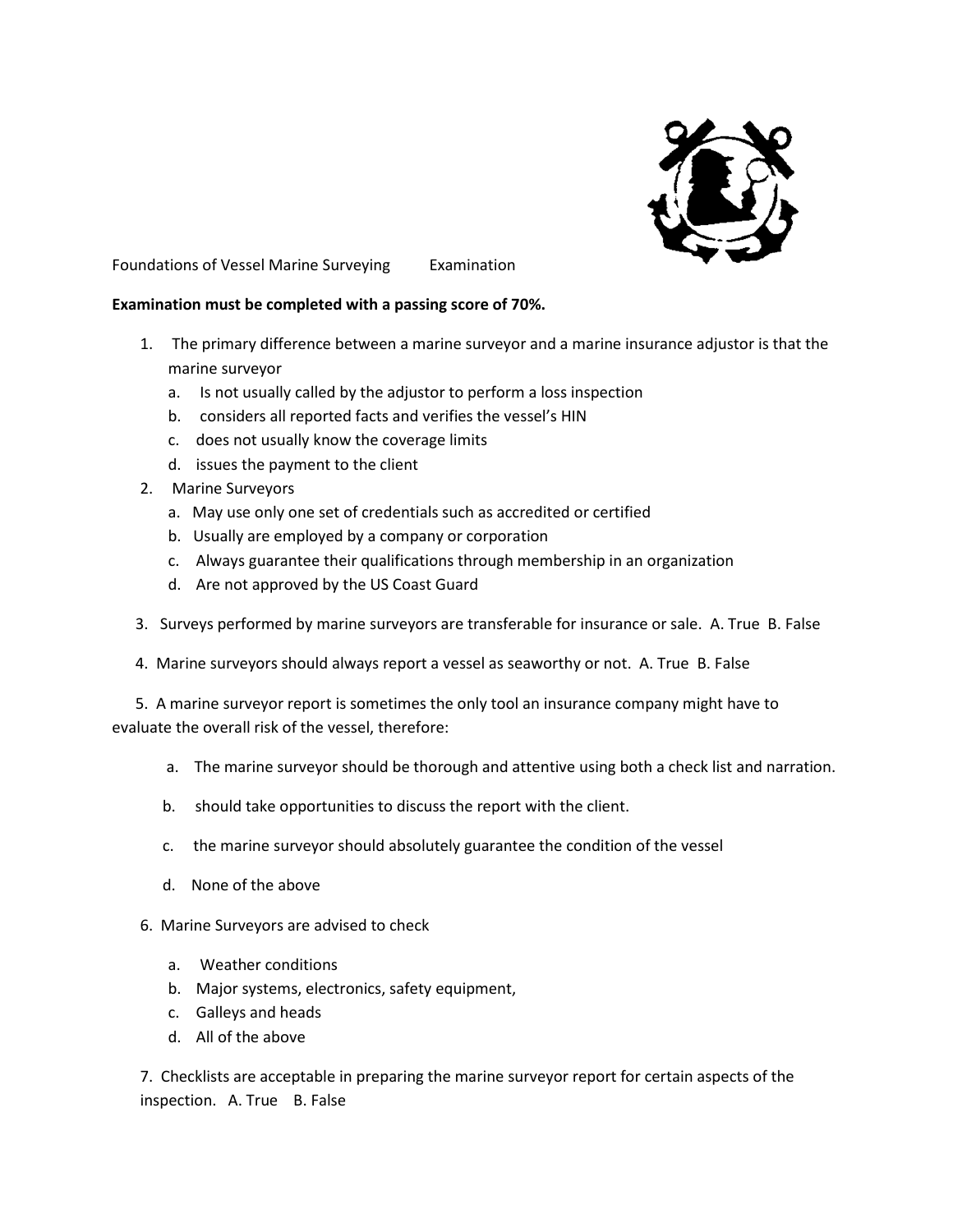

Foundations of Vessel Marine Surveying Examination

## **Examination must be completed with a passing score of 70%.**

- 1. The primary difference between a marine surveyor and a marine insurance adjustor is that the marine surveyor
	- a. Is not usually called by the adjustor to perform a loss inspection
	- b. considers all reported facts and verifies the vessel's HIN
	- c. does not usually know the coverage limits
	- d. issues the payment to the client
- 2. Marine Surveyors
	- a. May use only one set of credentials such as accredited or certified
	- b. Usually are employed by a company or corporation
	- c. Always guarantee their qualifications through membership in an organization
	- d. Are not approved by the US Coast Guard
- 3. Surveys performed by marine surveyors are transferable for insurance or sale. A. True B. False
- 4. Marine surveyors should always report a vessel as seaworthy or not. A. True B. False

 5. A marine surveyor report is sometimes the only tool an insurance company might have to evaluate the overall risk of the vessel, therefore:

- a. The marine surveyor should be thorough and attentive using both a check list and narration.
- b. should take opportunities to discuss the report with the client.
- c. the marine surveyor should absolutely guarantee the condition of the vessel
- d. None of the above
- 6. Marine Surveyors are advised to check
	- a. Weather conditions
	- b. Major systems, electronics, safety equipment,
	- c. Galleys and heads
	- d. All of the above

7. Checklists are acceptable in preparing the marine surveyor report for certain aspects of the inspection. A. True B. False